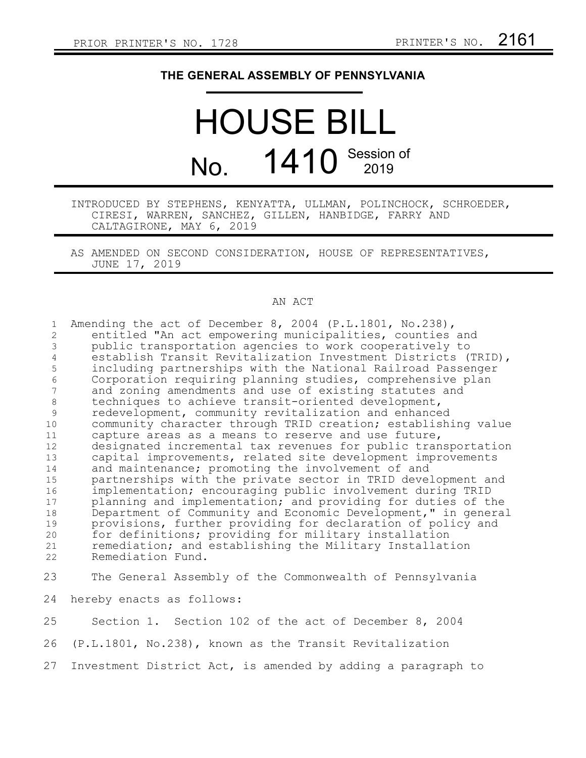## **THE GENERAL ASSEMBLY OF PENNSYLVANIA**

## HOUSE BILL No. 1410 Session of

## INTRODUCED BY STEPHENS, KENYATTA, ULLMAN, POLINCHOCK, SCHROEDER, CIRESI, WARREN, SANCHEZ, GILLEN, HANBIDGE, FARRY AND CALTAGIRONE, MAY 6, 2019

AS AMENDED ON SECOND CONSIDERATION, HOUSE OF REPRESENTATIVES, JUNE 17, 2019

## AN ACT

| $\mathbf{1}$<br>$\overline{2}$<br>3<br>$\overline{4}$ | Amending the act of December 8, 2004 (P.L.1801, No.238),<br>entitled "An act empowering municipalities, counties and<br>public transportation agencies to work cooperatively to<br>establish Transit Revitalization Investment Districts (TRID), |
|-------------------------------------------------------|--------------------------------------------------------------------------------------------------------------------------------------------------------------------------------------------------------------------------------------------------|
| 5                                                     | including partnerships with the National Railroad Passenger                                                                                                                                                                                      |
| $\sqrt{6}$                                            | Corporation requiring planning studies, comprehensive plan                                                                                                                                                                                       |
| 7                                                     | and zoning amendments and use of existing statutes and                                                                                                                                                                                           |
| $\,8\,$                                               | techniques to achieve transit-oriented development,                                                                                                                                                                                              |
| 9                                                     | redevelopment, community revitalization and enhanced                                                                                                                                                                                             |
| 10                                                    | community character through TRID creation; establishing value                                                                                                                                                                                    |
| 11                                                    | capture areas as a means to reserve and use future,                                                                                                                                                                                              |
| 12<br>13                                              | designated incremental tax revenues for public transportation<br>capital improvements, related site development improvements                                                                                                                     |
| 14                                                    | and maintenance; promoting the involvement of and                                                                                                                                                                                                |
| 15                                                    | partnerships with the private sector in TRID development and                                                                                                                                                                                     |
| 16                                                    | implementation; encouraging public involvement during TRID                                                                                                                                                                                       |
| 17                                                    | planning and implementation; and providing for duties of the                                                                                                                                                                                     |
| 18                                                    | Department of Community and Economic Development," in general                                                                                                                                                                                    |
| 19                                                    | provisions, further providing for declaration of policy and                                                                                                                                                                                      |
| 20                                                    | for definitions; providing for military installation                                                                                                                                                                                             |
| 21                                                    | remediation; and establishing the Military Installation                                                                                                                                                                                          |
| 22                                                    | Remediation Fund.                                                                                                                                                                                                                                |
|                                                       |                                                                                                                                                                                                                                                  |
| 23                                                    | The General Assembly of the Commonwealth of Pennsylvania                                                                                                                                                                                         |
| 24                                                    | hereby enacts as follows:                                                                                                                                                                                                                        |
| 25                                                    | Section 1. Section 102 of the act of December 8, 2004                                                                                                                                                                                            |
| 26                                                    | (P.L.1801, No.238), known as the Transit Revitalization                                                                                                                                                                                          |
|                                                       |                                                                                                                                                                                                                                                  |

27 Investment District Act, is amended by adding a paragraph to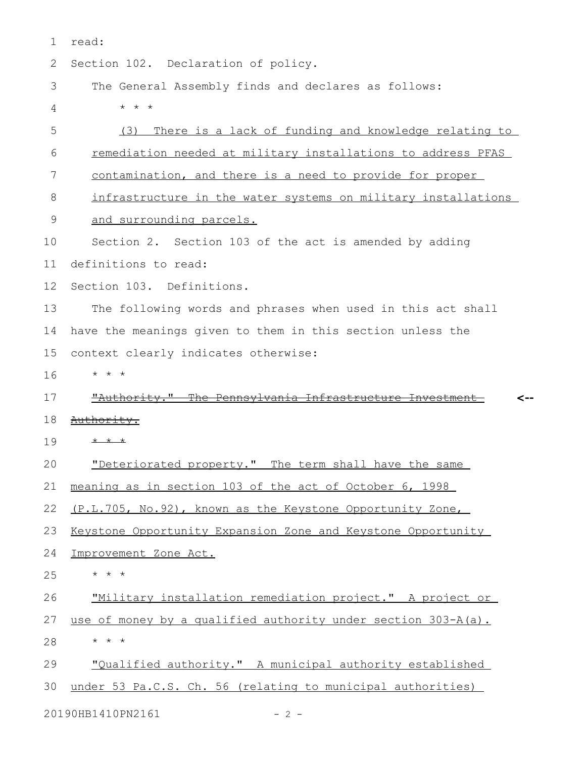| 1  | read:                                                         |
|----|---------------------------------------------------------------|
| 2  | Section 102. Declaration of policy.                           |
| 3  | The General Assembly finds and declares as follows:           |
| 4  | $\star$ $\star$<br>$\star$                                    |
| 5  | There is a lack of funding and knowledge relating to<br>(3)   |
| 6  | remediation needed at military installations to address PFAS  |
| 7  | contamination, and there is a need to provide for proper      |
| 8  | infrastructure in the water systems on military installations |
| 9  | and surrounding parcels.                                      |
| 10 | Section 2. Section 103 of the act is amended by adding        |
| 11 | definitions to read:                                          |
| 12 | Section 103. Definitions.                                     |
| 13 | The following words and phrases when used in this act shall   |
| 14 | have the meanings given to them in this section unless the    |
| 15 | context clearly indicates otherwise:                          |
| 16 | * * *                                                         |
| 17 | "Authority." The Pennsylvania Infrastructure Investment-      |
| 18 | Authority.                                                    |
| 19 | $\star$ $\star$                                               |
| 20 | "Deteriorated property." The term shall have the same         |
| 21 | meaning as in section 103 of the act of October 6, 1998       |
| 22 | (P.L.705, No.92), known as the Keystone Opportunity Zone,     |
| 23 | Keystone Opportunity Expansion Zone and Keystone Opportunity  |
| 24 | Improvement Zone Act.                                         |
| 25 | * * *                                                         |
| 26 | "Military installation remediation project." A project or     |
| 27 | use of money by a qualified authority under section 303-A(a). |
|    |                                                               |
| 28 | * * *                                                         |
| 29 | "Qualified authority." A municipal authority established      |
| 30 | under 53 Pa.C.S. Ch. 56 (relating to municipal authorities)   |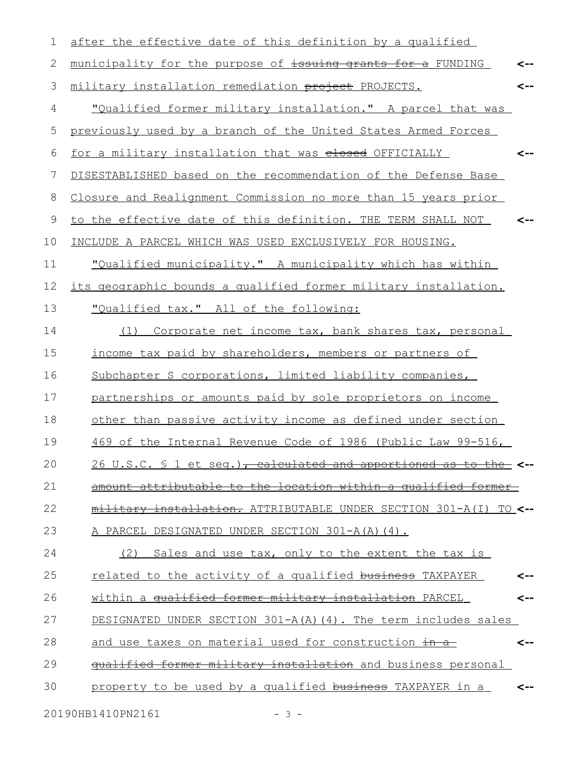| 1  | after the effective date of this definition by a qualified                      |     |
|----|---------------------------------------------------------------------------------|-----|
| 2  | municipality for the purpose of issuing grants for a FUNDING                    | <-- |
| 3  | military installation remediation project PROJECTS.                             | <-- |
| 4  | "Qualified former military installation." A parcel that was                     |     |
| 5  | previously used by a branch of the United States Armed Forces                   |     |
| 6  | for a military installation that was elesed OFFICIALLY                          | <-- |
| 7  | DISESTABLISHED based on the recommendation of the Defense Base                  |     |
| 8  | Closure and Realignment Commission no more than 15 years prior                  |     |
| 9  | to the effective date of this definition. THE TERM SHALL NOT                    | <-- |
| 10 | INCLUDE A PARCEL WHICH WAS USED EXCLUSIVELY FOR HOUSING.                        |     |
| 11 | "Qualified municipality." A municipality which has within                       |     |
| 12 | its geographic bounds a qualified former military installation.                 |     |
| 13 | "Qualified tax." All of the following:                                          |     |
| 14 | Corporate net income tax, bank shares tax, personal<br>(1)                      |     |
| 15 | income tax paid by shareholders, members or partners of                         |     |
| 16 | Subchapter S corporations, limited liability companies,                         |     |
| 17 | partnerships or amounts paid by sole proprietors on income                      |     |
| 18 | other than passive activity income as defined under section                     |     |
| 19 | 469 of the Internal Revenue Code of 1986 (Public Law 99-516,                    |     |
| 20 | 26 U.S.C. § 1 et seq.) <del>, calculated and apportioned as to the &lt;--</del> |     |
| 21 | amount attributable to the location within a qualified former                   |     |
| 22 | military installation. ATTRIBUTABLE UNDER SECTION 301-A(I) TO <--               |     |
| 23 | A PARCEL DESIGNATED UNDER SECTION 301-A(A)(4).                                  |     |
| 24 | (2) Sales and use tax, only to the extent the tax is                            |     |
| 25 | related to the activity of a qualified business TAXPAYER                        | <-- |
| 26 | within a qualified former military installation PARCEL                          | <-- |
| 27 | DESIGNATED UNDER SECTION $301-A(A)$ (4). The term includes sales                |     |
| 28 | and use taxes on material used for construction in a                            | <-- |
| 29 | qualified former military installation and business personal                    |     |
| 30 | property to be used by a qualified business TAXPAYER in a                       | <-- |
|    | 20190HB1410PN2161<br>$-3 -$                                                     |     |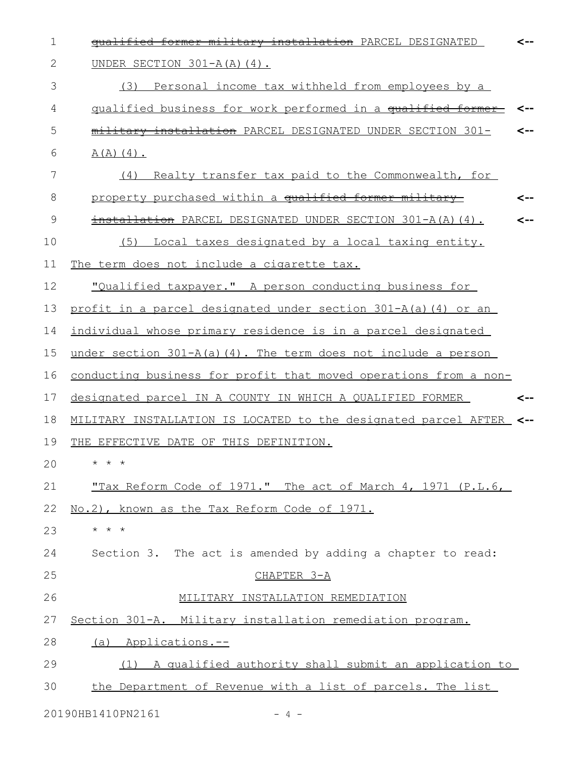| $\mathbf 1$  | qualified former military installation PARCEL DESIGNATED            | <-- |
|--------------|---------------------------------------------------------------------|-----|
| $\mathbf{2}$ | UNDER SECTION $301-A(A)$ (4).                                       |     |
| 3            | (3)<br>Personal income tax withheld from employees by a             |     |
| 4            | qualified business for work performed in a qualified former         | <-- |
| 5            | military installation PARCEL DESIGNATED UNDER SECTION 301-          | <-- |
| 6            | $A(A)$ $(4)$ .                                                      |     |
| 7            | Realty transfer tax paid to the Commonwealth, for<br>(4)            |     |
| 8            | property purchased within a qualified former military               | <-- |
| 9            | installation PARCEL DESIGNATED UNDER SECTION 301-A(A)(4).           | --> |
| 10           | Local taxes designated by a local taxing entity.<br>(5)             |     |
| 11           | The term does not include a cigarette tax.                          |     |
| 12           | "Qualified taxpayer." A person conducting business for              |     |
| 13           | profit in a parcel designated under section 301-A(a)(4) or an       |     |
| 14           | individual whose primary residence is in a parcel designated        |     |
| 15           | under section 301-A(a)(4). The term does not include a person       |     |
| 16           | conducting business for profit that moved operations from a non-    |     |
| 17           | designated parcel IN A COUNTY IN WHICH A QUALIFIED FORMER           | <-- |
| 18           | MILITARY INSTALLATION IS LOCATED to the designated parcel AFTER <-- |     |
| 19           | THE EFFECTIVE DATE OF THIS DEFINITION.                              |     |
| 20           | $\star$ $\star$ $\star$                                             |     |
| 21           | <u>"Tax Reform Code of 1971." The act of March 4, 1971 (P.L.6,</u>  |     |
| 22           | No.2), known as the Tax Reform Code of 1971.                        |     |
| 23           | $\star$ $\star$ $\star$                                             |     |
| 24           | Section 3. The act is amended by adding a chapter to read:          |     |
| 25           | CHAPTER 3-A                                                         |     |
| 26           | MILITARY INSTALLATION REMEDIATION                                   |     |
| 27           | Section 301-A. Military installation remediation program.           |     |
| 28           | (a) Applications.--                                                 |     |
| 29           | (1) A qualified authority shall submit an application to            |     |
| 30           | the Department of Revenue with a list of parcels. The list          |     |
|              |                                                                     |     |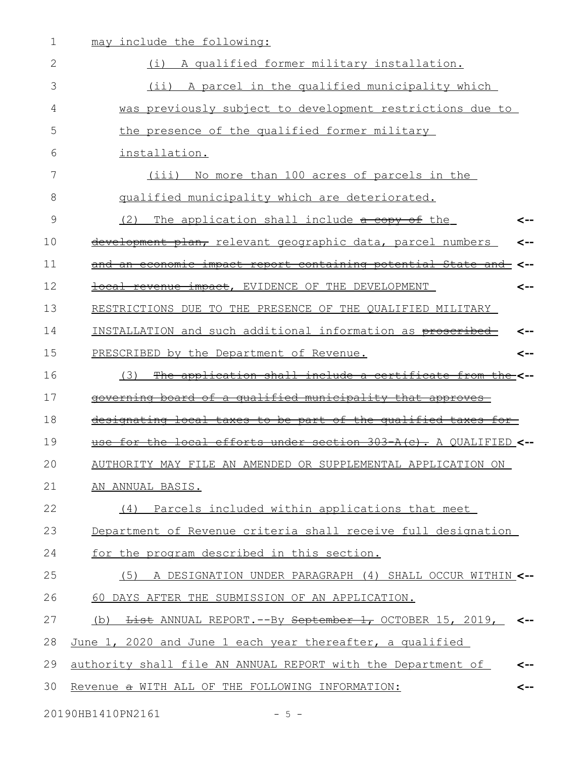| 1  | may include the following:                                                       |
|----|----------------------------------------------------------------------------------|
| 2  | (i) A qualified former military installation.                                    |
| 3  | (ii) A parcel in the qualified municipality which                                |
| 4  | was previously subject to development restrictions due to                        |
| 5  | the presence of the qualified former military                                    |
| 6  | installation.                                                                    |
| 7  | No more than 100 acres of parcels in the<br>(iii)                                |
| 8  | qualified municipality which are deteriorated.                                   |
| 9  | (2)<br>The application shall include a copy of the<br><--                        |
| 10 | development plan, relevant geographic data, parcel numbers<br>-->                |
| 11 | and an economic impact report containing potential State and                     |
| 12 | local revenue impact, EVIDENCE OF THE DEVELOPMENT<br><--                         |
| 13 | RESTRICTIONS DUE TO THE PRESENCE OF THE QUALIFIED MILITARY                       |
| 14 | INSTALLATION and such additional information as proscribed                       |
| 15 | PRESCRIBED by the Department of Revenue.<br><--                                  |
| 16 | The application shall include a certificate from the <--<br>(3)                  |
| 17 | governing board of a qualified municipality that approves                        |
| 18 | designating local taxes to be part of the qualified taxes for-                   |
| 19 | for the local efforts under section 303-A(c). A QUALIFIED <--                    |
| 20 | AUTHORITY MAY FILE AN AMENDED OR SUPPLEMENTAL APPLICATION ON                     |
| 21 | AN ANNUAL BASIS.                                                                 |
| 22 | (4) Parcels included within applications that meet                               |
| 23 | Department of Revenue criteria shall receive full designation                    |
| 24 | for the program described in this section.                                       |
| 25 | (5) A DESIGNATION UNDER PARAGRAPH (4) SHALL OCCUR WITHIN <--                     |
| 26 | 60 DAYS AFTER THE SUBMISSION OF AN APPLICATION.                                  |
| 27 | (b) <del>List</del> ANNUAL REPORT.--By <del>September 1,</del> OCTOBER 15, 2019, |
| 28 | June 1, 2020 and June 1 each year thereafter, a qualified                        |
| 29 | authority shall file AN ANNUAL REPORT with the Department of                     |
| 30 | Revenue a WITH ALL OF THE FOLLOWING INFORMATION:<br>-->                          |
|    |                                                                                  |

20190HB1410PN2161 - 5 -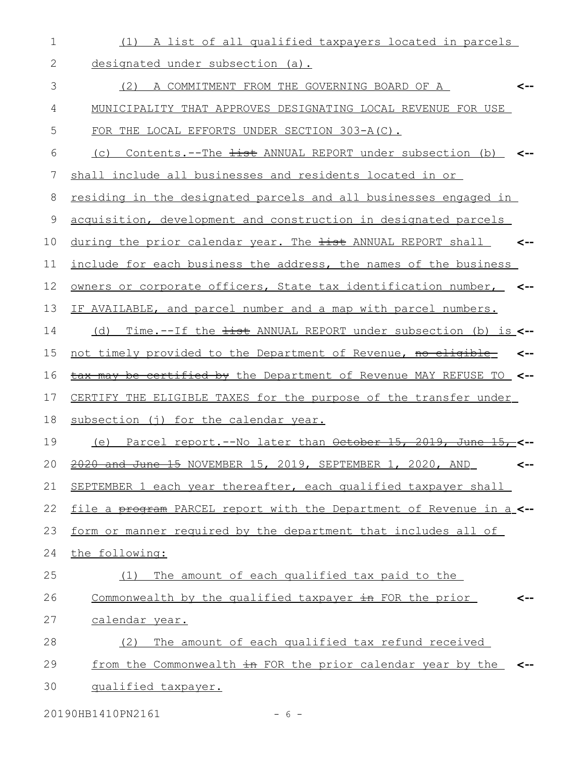| 1  | (1) A list of all qualified taxpayers located in parcels                              |
|----|---------------------------------------------------------------------------------------|
| 2  | designated under subsection (a).                                                      |
| 3  | (2) A COMMITMENT FROM THE GOVERNING BOARD OF A<br><--                                 |
| 4  | MUNICIPALITY THAT APPROVES DESIGNATING LOCAL REVENUE FOR USE                          |
| 5  | FOR THE LOCAL EFFORTS UNDER SECTION 303-A(C).                                         |
| 6  | Contents.--The <del>list</del> ANNUAL REPORT under subsection (b) <--<br>(C)          |
| 7  | shall include all businesses and residents located in or                              |
| 8  | residing in the designated parcels and all businesses engaged in                      |
| 9  | acquisition, development and construction in designated parcels                       |
| 10 | during the prior calendar year. The <del>list</del> ANNUAL REPORT shall <b>&lt;--</b> |
| 11 | include for each business the address, the names of the business                      |
| 12 | owners or corporate officers, State tax identification number,                        |
| 13 | IF AVAILABLE, and parcel number and a map with parcel numbers.                        |
| 14 | (d) Time.--If the <del>list</del> ANNUAL REPORT under subsection (b) is <--           |
| 15 | not timely provided to the Department of Revenue, no eligible<br><--                  |
| 16 | be certified by the Department of Revenue MAY REFUSE TO <--<br><del>tax mav</del>     |
| 17 | CERTIFY THE ELIGIBLE TAXES for the purpose of the transfer under                      |
| 18 | subsection (j) for the calendar year.                                                 |
| 19 | Parcel report.--No later than October 15, 2019, June<br>(e)                           |
| 20 | 2020 and June 15 NOVEMBER 15, 2019, SEPTEMBER 1, 2020, AND<br><--                     |
| 21 | SEPTEMBER 1 each year thereafter, each qualified taxpayer shall                       |
| 22 | file a program PARCEL report with the Department of Revenue in a_<--                  |
| 23 | form or manner required by the department that includes all of                        |
| 24 | the following:                                                                        |
| 25 | The amount of each qualified tax paid to the<br>(1)                                   |
| 26 | Commonwealth by the qualified taxpayer in FOR the prior<br><--                        |
| 27 | calendar year.                                                                        |
| 28 | The amount of each qualified tax refund received<br>(2)                               |
| 29 | from the Commonwealth in FOR the prior calendar year by the<br><--                    |
| 30 | qualified taxpayer.                                                                   |

20190HB1410PN2161 - 6 -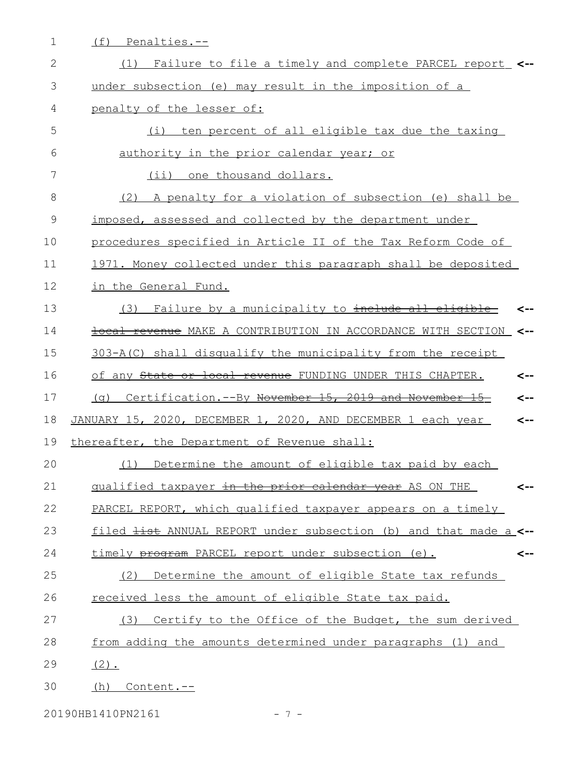| ۰ | $\cap$<br>ı.<br>$\sim$<br>F H I A<br>-- |
|---|-----------------------------------------|
|   |                                         |

| $\mathbf{2}$  | Failure to file a timely and complete PARCEL report_ <--<br>(1)              |
|---------------|------------------------------------------------------------------------------|
| 3             | under subsection (e) may result in the imposition of a                       |
| 4             | penalty of the lesser of:                                                    |
| 5             | ten percent of all eligible tax due the taxing<br>(i)                        |
| 6             | authority in the prior calendar year; or                                     |
| 7             | (ii) one thousand dollars.                                                   |
| 8             | (2) A penalty for a violation of subsection (e) shall be                     |
| $\mathcal{G}$ | imposed, assessed and collected by the department under                      |
| 10            | procedures specified in Article II of the Tax Reform Code of                 |
| 11            | 1971. Money collected under this paragraph shall be deposited                |
| 12            | in the General Fund.                                                         |
| 13            | Failure by a municipality to include all eligible<br>(3)                     |
| 14            | <b>local revenue</b> MAKE A CONTRIBUTION IN ACCORDANCE WITH SECTION <--      |
| 15            | 303-A(C) shall disqualify the municipality from the receipt                  |
| 16            | of any State or local revenue FUNDING UNDER THIS CHAPTER.<br><--             |
| 17            | Certification.--By November 15, 2019 and November 15<br>(a)<br><--           |
| 18            | JANUARY 15, 2020, DECEMBER 1, 2020, AND DECEMBER 1 each year<br><--          |
| 19            | thereafter, the Department of Revenue shall:                                 |
| 20            | Determine the amount of eligible tax paid by each<br>(1)                     |
| 21            | qualified taxpayer in the prior calendar year AS ON THE<br><--               |
| 22            | PARCEL REPORT, which qualified taxpayer appears on a timely                  |
| 23            | filed <del>list</del> ANNUAL REPORT under subsection (b) and that made a <-- |
| 24            | timely program PARCEL report under subsection (e).<br><--                    |
| 25            | Determine the amount of eligible State tax refunds<br>(2)                    |
| 26            | received less the amount of eligible State tax paid.                         |
| 27            | (3) Certify to the Office of the Budget, the sum derived                     |
| 28            | from adding the amounts determined under paragraphs (1) and                  |
| 29            | $(2)$ .                                                                      |
| 30            | Content.--<br>(h)                                                            |

20190HB1410PN2161 - 7 -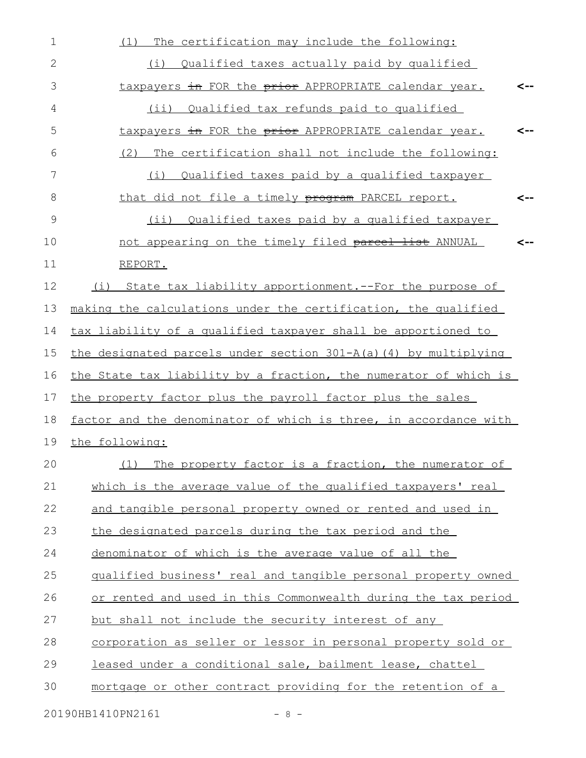| $\mathbf 1$  | The certification may include the following:<br>(1)                 |     |
|--------------|---------------------------------------------------------------------|-----|
| $\mathbf{2}$ | (i) Qualified taxes actually paid by qualified                      |     |
| 3            | taxpayers in FOR the prior APPROPRIATE calendar year.               | <-- |
| 4            | Qualified tax refunds paid to qualified<br>$(i$ i)                  |     |
| 5            | taxpayers in FOR the prior APPROPRIATE calendar year.               | <-- |
| 6            | (2)<br>The certification shall not include the following:           |     |
| 7            | Qualified taxes paid by a qualified taxpayer<br>(i)                 |     |
| 8            | that did not file a timely program PARCEL report.                   | <-- |
| 9            | (ii) Qualified taxes paid by a qualified taxpayer                   |     |
| 10           | not appearing on the timely filed parcel list ANNUAL                |     |
| 11           | REPORT.                                                             |     |
| 12           | State tax liability apportionment. -- For the purpose of<br>(i)     |     |
| 13           | making the calculations under the certification, the qualified      |     |
| 14           | tax liability of a qualified taxpayer shall be apportioned to       |     |
| 15           | the designated parcels under section 301-A(a)(4) by multiplying     |     |
| 16           | the State tax liability by a fraction, the numerator of which is    |     |
| 17           | the property factor plus the payroll factor plus the sales          |     |
| 18           | factor and the denominator of which is three, in accordance with    |     |
| 19           | the following:                                                      |     |
| 20           | (1)<br>The property factor is a fraction, the numerator of          |     |
| 21           | which is the average value of the qualified taxpayers' real         |     |
| 22           | and tangible personal property owned or rented and used in          |     |
| 23           | the designated parcels during the tax period and the                |     |
| 24           | denominator of which is the average value of all the                |     |
| 25           | qualified business' real and tangible personal property owned       |     |
| 26           | or rented and used in this Commonwealth during the tax period       |     |
| 27           | but shall not include the security interest of any                  |     |
| 28           | <u>corporation as seller or lessor in personal property sold or</u> |     |
| 29           | leased under a conditional sale, bailment lease, chattel            |     |
| 30           | mortgage or other contract providing for the retention of a         |     |
|              | 20190HB1410PN2161<br>$-8-$                                          |     |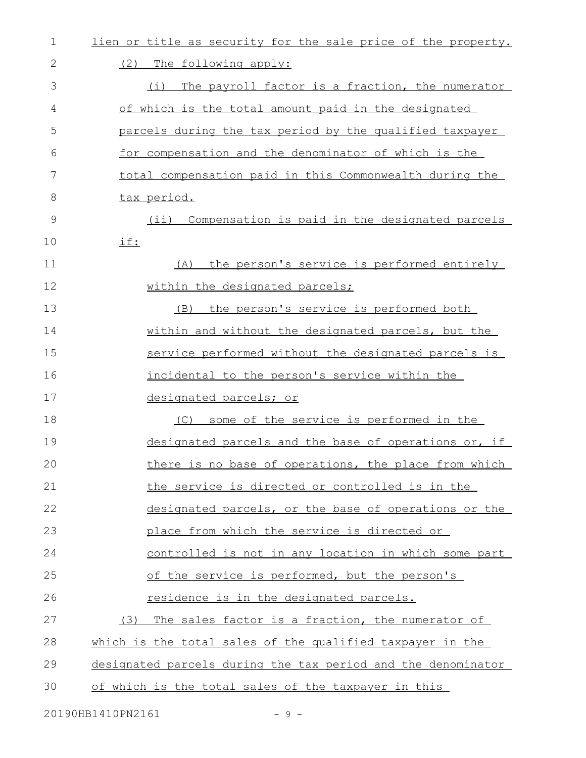| 1  | lien or title as security for the sale price of the property. |
|----|---------------------------------------------------------------|
| 2  | (2) The following apply:                                      |
| 3  | The payroll factor is a fraction, the numerator<br>(i)        |
| 4  | of which is the total amount paid in the designated           |
| 5  | parcels during the tax period by the qualified taxpayer       |
| 6  | for compensation and the denominator of which is the          |
| 7  | total compensation paid in this Commonwealth during the       |
| 8  | tax period.                                                   |
| 9  | Compensation is paid in the designated parcels<br>$(i$ i)     |
| 10 | if:                                                           |
| 11 | the person's service is performed entirely<br>(A)             |
| 12 | within the designated parcels;                                |
| 13 | the person's service is performed both<br>(B)                 |
| 14 | within and without the designated parcels, but the            |
| 15 | service performed without the designated parcels is           |
| 16 | incidental to the person's service within the                 |
| 17 | designated parcels; or                                        |
| 18 | (C) some of the service is performed in the                   |
| 19 | designated parcels and the base of operations or, if          |
| 20 | there is no base of operations, the place from which          |
| 21 | the service is directed or controlled is in the               |
| 22 | designated parcels, or the base of operations or the          |
| 23 | place from which the service is directed or                   |
| 24 | controlled is not in any location in which some part          |
| 25 | of the service is performed, but the person's                 |
| 26 | residence is in the designated parcels.                       |
| 27 | (3)<br>The sales factor is a fraction, the numerator of       |
| 28 | which is the total sales of the qualified taxpayer in the     |
| 29 | designated parcels during the tax period and the denominator  |
| 30 | of which is the total sales of the taxpayer in this           |
|    |                                                               |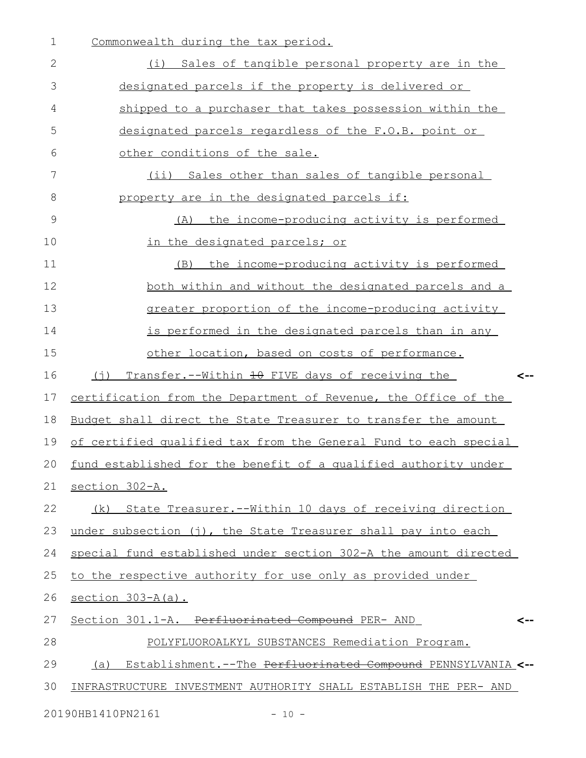| 1             | Commonwealth during the tax period.                                 |
|---------------|---------------------------------------------------------------------|
| 2             | (i) Sales of tangible personal property are in the                  |
| 3             | designated parcels if the property is delivered or                  |
| 4             | shipped to a purchaser that takes possession within the             |
| 5             | designated parcels regardless of the F.O.B. point or                |
| 6             | other conditions of the sale.                                       |
| 7             | (ii) Sales other than sales of tangible personal                    |
| 8             | property are in the designated parcels if:                          |
| $\mathcal{G}$ | the income-producing activity is performed<br>(A)                   |
| 10            | in the designated parcels; or                                       |
| 11            | the income-producing activity is performed<br>(B)                   |
| 12            | both within and without the designated parcels and a                |
| 13            | greater proportion of the income-producing activity                 |
| 14            | is performed in the designated parcels than in any                  |
| 15            | other location, based on costs of performance.                      |
| 16            | Transfer.--Within 10 FIVE days of receiving the<br>(†)<br><--       |
| 17            | certification from the Department of Revenue, the Office of the     |
| 18            | Budget shall direct the State Treasurer to transfer the amount      |
| 19            | of certified qualified tax from the General Fund to each special    |
| 20            | fund established for the benefit of a qualified authority under     |
| 21            | section 302-A.                                                      |
| 22            | (k) State Treasurer.--Within 10 days of receiving direction         |
| 23            | under subsection (j), the State Treasurer shall pay into each       |
| 24            | special fund established under section 302-A the amount directed    |
| 25            | to the respective authority for use only as provided under          |
| 26            | section 303-A(a).                                                   |
| 27            | Section 301.1-A. Perfluorinated Compound PER- AND                   |
| 28            | POLYFLUOROALKYL SUBSTANCES Remediation Program.                     |
| 29            | Establishment.--The Perfluorinated Compound PENNSYLVANIA <--<br>(a) |
| 30            | INFRASTRUCTURE INVESTMENT AUTHORITY SHALL ESTABLISH THE PER- AND    |
|               |                                                                     |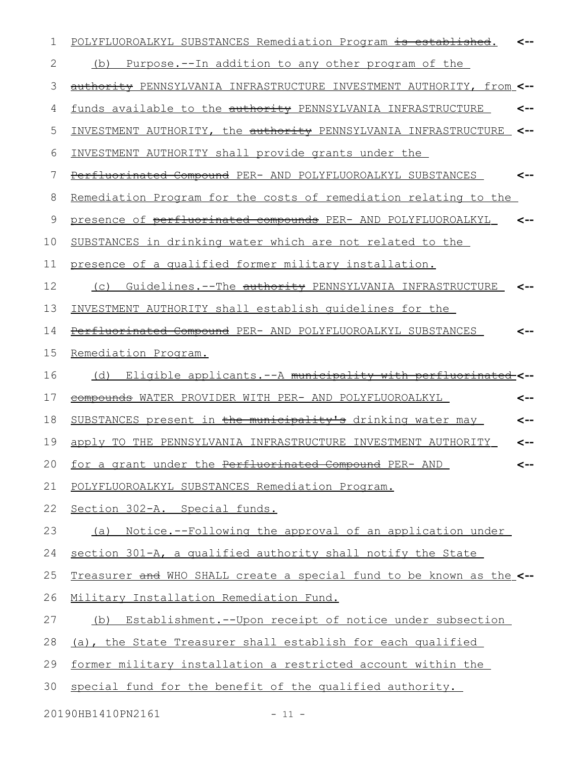| 1  | POLYFLUOROALKYL SUBSTANCES Remediation Program is established.       |     |
|----|----------------------------------------------------------------------|-----|
| 2  | Purpose.--In addition to any other program of the<br>(b)             |     |
| 3  | authority PENNSYLVANIA INFRASTRUCTURE INVESTMENT AUTHORITY, from <-- |     |
| 4  | funds available to the authority PENNSYLVANIA INFRASTRUCTURE         |     |
| 5  | INVESTMENT AUTHORITY, the authority PENNSYLVANIA INFRASTRUCTURE      | <-- |
| 6  | INVESTMENT AUTHORITY shall provide grants under the                  |     |
| 7  | Perfluorinated Compound PER- AND POLYFLUOROALKYL SUBSTANCES          |     |
| 8  | Remediation Program for the costs of remediation relating to the     |     |
| 9  | presence of perfluorinated compounds PER- AND POLYFLUOROALKYL        |     |
| 10 | SUBSTANCES in drinking water which are not related to the            |     |
| 11 | presence of a qualified former military installation.                |     |
| 12 | Guidelines. -- The authority PENNSYLVANIA INFRASTRUCTURE<br>(C)      |     |
| 13 | INVESTMENT AUTHORITY shall establish quidelines for the              |     |
| 14 | Perfluorinated Compound PER- AND POLYFLUOROALKYL SUBSTANCES          |     |
| 15 | Remediation Program.                                                 |     |
| 16 | (d) Eligible applicants.--A municipality with perfluorinated_<--     |     |
| 17 | compounds WATER PROVIDER WITH PER- AND POLYFLUOROALKYL               | <-- |
| 18 | SUBSTANCES present in the municipality's drinking water may          | <-- |
| 19 | apply TO THE PENNSYLVANIA INFRASTRUCTURE INVESTMENT AUTHORITY        | <-- |
| 20 | for a grant under the Perfluorinated Compound PER- AND               | <-- |
| 21 | POLYFLUOROALKYL SUBSTANCES Remediation Program.                      |     |
| 22 | Section 302-A. Special funds.                                        |     |
| 23 | (a) Notice.--Following the approval of an application under          |     |
| 24 | section 301-A, a qualified authority shall notify the State          |     |
| 25 | Treasurer and WHO SHALL create a special fund to be known as the <-- |     |
| 26 | Military Installation Remediation Fund.                              |     |
| 27 | (b) Establishment.--Upon receipt of notice under subsection          |     |
| 28 | (a), the State Treasurer shall establish for each qualified          |     |
| 29 | former military installation a restricted account within the         |     |
| 30 | special fund for the benefit of the qualified authority.             |     |
|    | 20190HB1410PN2161<br>$-11 -$                                         |     |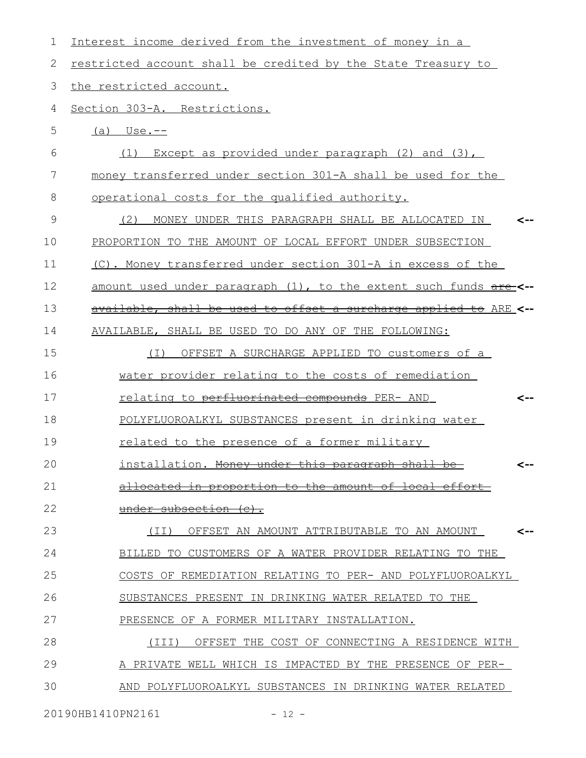| 1  | Interest income derived from the investment of money in a         |
|----|-------------------------------------------------------------------|
| 2  | restricted account shall be credited by the State Treasury to     |
| 3  | the restricted account.                                           |
| 4  | Section 303-A. Restrictions.                                      |
| 5  | $(a)$ Use.--                                                      |
| 6  | Except as provided under paragraph (2) and (3),<br>(1)            |
| 7  | money transferred under section 301-A shall be used for the       |
| 8  | operational costs for the qualified authority.                    |
| 9  | MONEY UNDER THIS PARAGRAPH SHALL BE ALLOCATED IN<br>(2)           |
| 10 | PROPORTION TO THE AMOUNT OF LOCAL EFFORT UNDER SUBSECTION         |
| 11 | (C). Money transferred under section 301-A in excess of the       |
| 12 | amount used under paragraph (1), to the extent such funds are-<-- |
| 13 | available, shall be used to offset a surcharge applied to ARE <-- |
| 14 | AVAILABLE, SHALL BE USED TO DO ANY OF THE FOLLOWING:              |
| 15 | OFFSET A SURCHARGE APPLIED TO customers of a<br>( I )             |
| 16 | water provider relating to the costs of remediation               |
| 17 | relating to perfluorinated compounds PER- AND<br><--              |
| 18 | POLYFLUOROALKYL SUBSTANCES present in drinking water              |
| 19 | related to the presence of a former military                      |
| 20 | installation. Money under this paragraph shall be                 |
| 21 | <u>in proportion to the amount of local effort-</u>               |
| 22 | under subsection (c).                                             |
| 23 | OFFSET AN AMOUNT ATTRIBUTABLE TO AN AMOUNT<br>(II)<br><--         |
| 24 | BILLED TO CUSTOMERS OF A WATER PROVIDER RELATING TO THE           |
| 25 | COSTS OF REMEDIATION RELATING TO PER- AND POLYFLUOROALKYL         |
| 26 | SUBSTANCES PRESENT IN DRINKING WATER RELATED TO THE               |
| 27 | PRESENCE OF A FORMER MILITARY INSTALLATION.                       |
| 28 | OFFSET THE COST OF CONNECTING A RESIDENCE WITH<br>(III)           |
| 29 | A PRIVATE WELL WHICH IS IMPACTED BY THE PRESENCE OF PER-          |
| 30 | AND POLYFLUOROALKYL SUBSTANCES IN DRINKING WATER RELATED          |
|    |                                                                   |

20190HB1410PN2161 - 12 -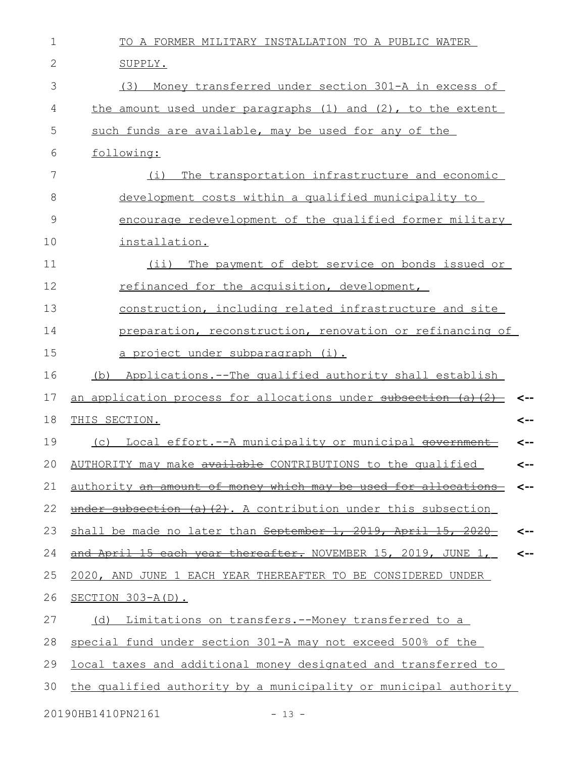| $\mathbf 1$   | TO A FORMER MILITARY INSTALLATION TO A PUBLIC WATER              |              |
|---------------|------------------------------------------------------------------|--------------|
| $\mathbf{2}$  | SUPPLY.                                                          |              |
| 3             | Money transferred under section 301-A in excess of<br>(3)        |              |
| 4             | the amount used under paragraphs (1) and (2), to the extent      |              |
| 5             | such funds are available, may be used for any of the             |              |
| 6             | following:                                                       |              |
| 7             | The transportation infrastructure and economic<br>(i)            |              |
| 8             | development costs within a qualified municipality to             |              |
| $\mathcal{G}$ | encourage redevelopment of the qualified former military         |              |
| 10            | installation.                                                    |              |
| 11            | The payment of debt service on bonds issued or<br>$(i$ i)        |              |
| 12            | refinanced for the acquisition, development,                     |              |
| 13            | construction, including related infrastructure and site          |              |
| 14            | preparation, reconstruction, renovation or refinancing of        |              |
| 15            | <u>a project under subparagraph (i).</u>                         |              |
| 16            | Applications.--The qualified authority shall establish<br>(b)    |              |
| 17            | an application process for allocations under subsection (a) (2)  |              |
| 18            | THIS SECTION.                                                    | <--          |
| 19            | Local effort .-- A municipality or municipal government<br>(C)   | <--          |
| 20            | AUTHORITY may make available CONTRIBUTIONS to the qualified      | <--          |
| 21            | authority an amount of money which may be used for allocations   | <--          |
| 22            | under subsection (a)(2). A contribution under this subsection    |              |
| 23            | shall be made no later than September 1, 2019, April 15, 2020    | <--          |
| 24            | and April 15 each year thereafter. NOVEMBER 15, 2019, JUNE 1,    | $\leftarrow$ |
| 25            | 2020, AND JUNE 1 EACH YEAR THEREAFTER TO BE CONSIDERED UNDER     |              |
| 26            | $SECTION 303-A(D)$ .                                             |              |
| 27            | Limitations on transfers.--Money transferred to a<br>(d)         |              |
| 28            | special fund under section 301-A may not exceed 500% of the      |              |
| 29            | local taxes and additional money designated and transferred to   |              |
| 30            | the qualified authority by a municipality or municipal authority |              |
|               | 20190HB1410PN2161<br>$-13 -$                                     |              |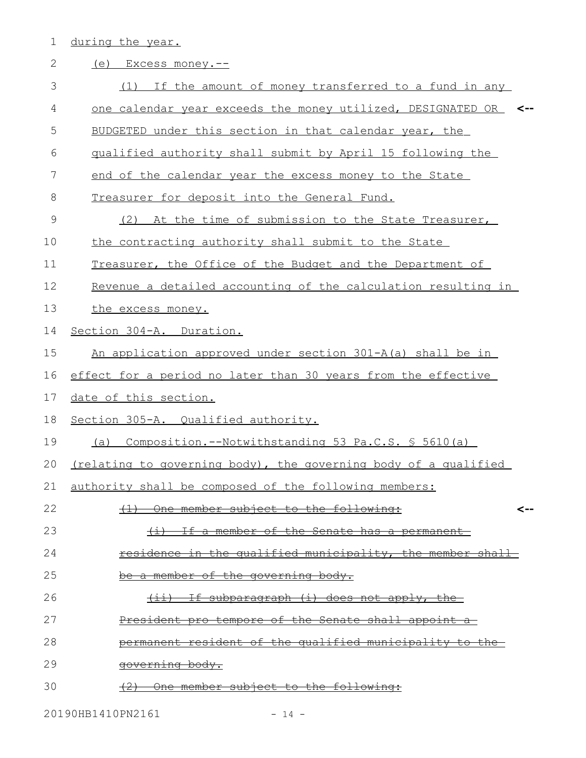1 during the year.

| $\mathbf{2}$ | (e)<br>Excess money.--                                                      |
|--------------|-----------------------------------------------------------------------------|
| 3            | (1) If the amount of money transferred to a fund in any                     |
| 4            | one calendar year exceeds the money utilized, DESIGNATED OR<br>$\leftarrow$ |
| 5            | BUDGETED under this section in that calendar year, the                      |
| 6            | qualified authority shall submit by April 15 following the                  |
| 7            | end of the calendar year the excess money to the State                      |
| 8            | Treasurer for deposit into the General Fund.                                |
| 9            | At the time of submission to the State Treasurer,<br>(2)                    |
| 10           | the contracting authority shall submit to the State                         |
| 11           | Treasurer, the Office of the Budget and the Department of                   |
| 12           | Revenue a detailed accounting of the calculation resulting in               |
| 13           | the excess money.                                                           |
| 14           | Section 304-A. Duration.                                                    |
| 15           | An application approved under section 301-A(a) shall be in                  |
| 16           | effect for a period no later than 30 years from the effective               |
| 17           | date of this section.                                                       |
| 18           | Section 305-A. Qualified authority.                                         |
| 19           | Composition.--Notwithstanding 53 Pa.C.S. $$5610(a)$<br>(a)                  |
| 20           | (relating to governing body), the governing body of a qualified             |
| 21           | authority shall be composed of the following members:                       |
| 22           | (1) One member subject to the following:<br><--                             |
| 23           | (i) If a member of the Senate has a permanent                               |
| 24           | residence in the qualified municipality, the member shall-                  |
| 25           | be a member of the governing body.                                          |
| 26           | $(i)$ If subparagraph $(i)$ does not apply, the                             |
| 27           | President pro tempore of the Senate shall appoint a                         |
| 28           | permanent resident of the qualified municipality to the-                    |
| 29           | governing body.                                                             |
| 30           | (2) One member subject to the following:                                    |

20190HB1410PN2161 - 14 -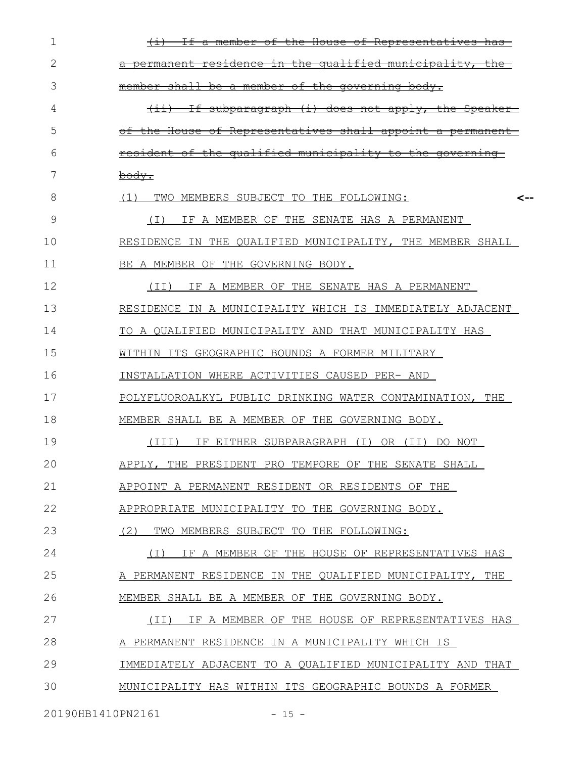| 1                 | <del>House</del><br><del>Repres</del>                                                              |
|-------------------|----------------------------------------------------------------------------------------------------|
| 2                 | <del>qualified municipality.</del><br>the<br>±n                                                    |
| 3                 | <del>member</del><br>⊖£<br><del>the governing</del><br><del>member</del><br><del>bodv.</del><br>ਣੇ |
| 4                 | $+1$<br><del>applv.</del><br><del>subbaragraph</del><br><del>does</del><br><del>not</del><br>←±→   |
| 5                 | <del>shall</del><br><del>House</del><br><del>ntatıves</del><br><del>appoint</del>                  |
| 6                 | <del>qualified</del><br><del>municipality</del><br>the<br>€O<br><del>aove</del>                    |
| 7                 | body.                                                                                              |
| 8                 | (1)<br>TWO<br>MEMBERS SUBJECT TO THE FOLLOWING:<br><--                                             |
| 9                 | IF A MEMBER OF THE SENATE HAS A PERMANENT<br>(I)                                                   |
| 10                | RESIDENCE IN THE OUALIFIED MUNICIPALITY, THE MEMBER SHALL                                          |
| 11                | BE A MEMBER OF THE GOVERNING BODY.                                                                 |
| 12                | IF A MEMBER OF THE SENATE HAS A PERMANENT<br>(TI)                                                  |
| 13                | RESIDENCE IN A MUNICIPALITY WHICH IS IMMEDIATELY ADJACENT                                          |
| 14                | TO A OUALIFIED MUNICIPALITY AND THAT MUNICIPALITY HAS                                              |
| 15                | WITHIN ITS GEOGRAPHIC BOUNDS A FORMER MILITARY                                                     |
| 16                | INSTALLATION WHERE ACTIVITIES CAUSED PER- AND                                                      |
| 17                | POLYFLUOROALKYL PUBLIC DRINKING WATER CONTAMINATION, THE                                           |
| 18                | MEMBER SHALL BE A MEMBER OF THE GOVERNING BODY.                                                    |
| 19                | (III)<br>IF EITHER SUBPARAGRAPH (I)<br>OR (II)<br>DO NOT                                           |
| 20                | APPLY,<br>THE PRESIDENT PRO TEMPORE OF THE SENATE SHALL                                            |
| 21                | APPOINT A PERMANENT RESIDENT OR RESIDENTS OF THE                                                   |
| 22                | APPROPRIATE MUNICIPALITY TO THE GOVERNING BODY.                                                    |
| 23                | (2)<br>TWO MEMBERS SUBJECT TO THE FOLLOWING:                                                       |
| 24                | IF A MEMBER OF THE HOUSE OF REPRESENTATIVES HAS<br>( I )                                           |
| 25                | A PERMANENT RESIDENCE IN THE QUALIFIED MUNICIPALITY, THE                                           |
| 26                | MEMBER SHALL BE A MEMBER OF THE GOVERNING BODY.                                                    |
| 27                | IF A MEMBER OF THE HOUSE OF REPRESENTATIVES HAS<br>(II)                                            |
| 28                | A PERMANENT RESIDENCE IN A MUNICIPALITY WHICH IS                                                   |
| 29                | IMMEDIATELY ADJACENT TO A QUALIFIED MUNICIPALITY AND THAT                                          |
| 30                | MUNICIPALITY HAS WITHIN ITS GEOGRAPHIC BOUNDS A FORMER                                             |
| 20190HB1410PN2161 | $-15 -$                                                                                            |